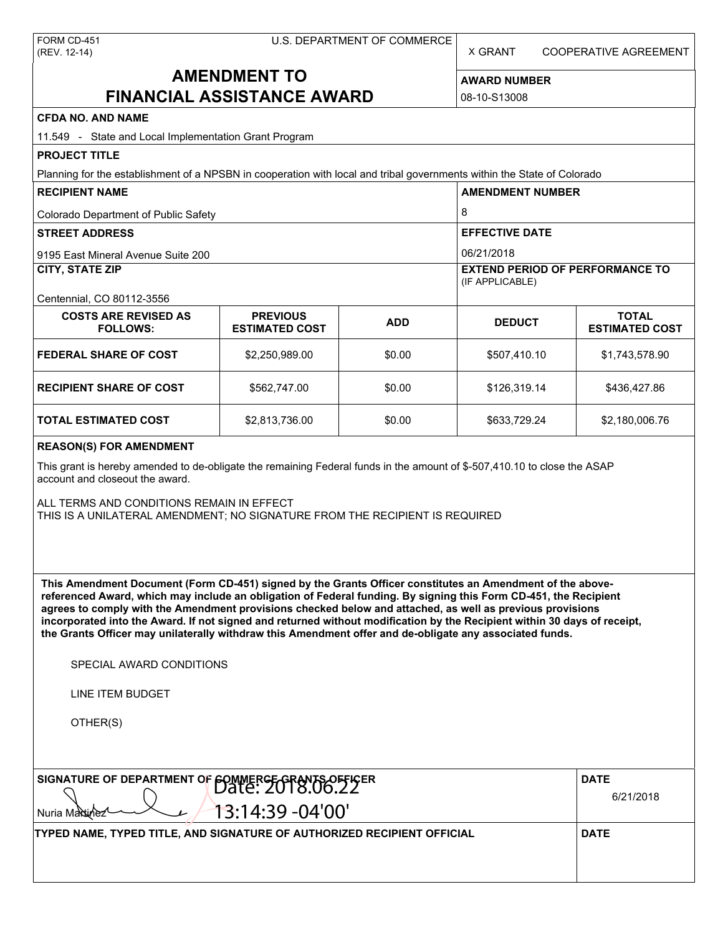| FORM CD-451  |
|--------------|
| (REV. 12-14) |

X GRANT COOPERATIVE AGREEMENT

# **AMENDMENT TO FINANCIAL ASSISTANCE AWARD**

**AWARD NUMBER** 08-10-S13008

| <b>CFDA NO. AND NAME</b>                                                                                                                                                                                                                                                                                                                                                                                                                                                                                                                                                          |                                                                                                                          |            |                                                      |                                       |  |  |
|-----------------------------------------------------------------------------------------------------------------------------------------------------------------------------------------------------------------------------------------------------------------------------------------------------------------------------------------------------------------------------------------------------------------------------------------------------------------------------------------------------------------------------------------------------------------------------------|--------------------------------------------------------------------------------------------------------------------------|------------|------------------------------------------------------|---------------------------------------|--|--|
| 11.549 - State and Local Implementation Grant Program                                                                                                                                                                                                                                                                                                                                                                                                                                                                                                                             |                                                                                                                          |            |                                                      |                                       |  |  |
| <b>PROJECT TITLE</b>                                                                                                                                                                                                                                                                                                                                                                                                                                                                                                                                                              |                                                                                                                          |            |                                                      |                                       |  |  |
| Planning for the establishment of a NPSBN in cooperation with local and tribal governments within the State of Colorado                                                                                                                                                                                                                                                                                                                                                                                                                                                           |                                                                                                                          |            |                                                      |                                       |  |  |
| <b>RECIPIENT NAME</b>                                                                                                                                                                                                                                                                                                                                                                                                                                                                                                                                                             |                                                                                                                          |            | <b>AMENDMENT NUMBER</b>                              |                                       |  |  |
| Colorado Department of Public Safety                                                                                                                                                                                                                                                                                                                                                                                                                                                                                                                                              |                                                                                                                          |            | 8                                                    |                                       |  |  |
| <b>STREET ADDRESS</b>                                                                                                                                                                                                                                                                                                                                                                                                                                                                                                                                                             |                                                                                                                          |            | <b>EFFECTIVE DATE</b>                                |                                       |  |  |
| 9195 East Mineral Avenue Suite 200<br><b>CITY, STATE ZIP</b>                                                                                                                                                                                                                                                                                                                                                                                                                                                                                                                      |                                                                                                                          |            | 06/21/2018<br><b>EXTEND PERIOD OF PERFORMANCE TO</b> |                                       |  |  |
|                                                                                                                                                                                                                                                                                                                                                                                                                                                                                                                                                                                   |                                                                                                                          |            | (IF APPLICABLE)                                      |                                       |  |  |
| Centennial, CO 80112-3556                                                                                                                                                                                                                                                                                                                                                                                                                                                                                                                                                         |                                                                                                                          |            |                                                      |                                       |  |  |
| <b>COSTS ARE REVISED AS</b><br><b>FOLLOWS:</b>                                                                                                                                                                                                                                                                                                                                                                                                                                                                                                                                    | <b>PREVIOUS</b><br><b>ESTIMATED COST</b>                                                                                 | <b>ADD</b> | <b>DEDUCT</b>                                        | <b>TOTAL</b><br><b>ESTIMATED COST</b> |  |  |
| <b>FEDERAL SHARE OF COST</b>                                                                                                                                                                                                                                                                                                                                                                                                                                                                                                                                                      | \$2,250,989.00                                                                                                           | \$0.00     | \$507,410.10                                         | \$1,743,578.90                        |  |  |
| <b>RECIPIENT SHARE OF COST</b>                                                                                                                                                                                                                                                                                                                                                                                                                                                                                                                                                    | \$562,747.00                                                                                                             | \$0.00     | \$126,319.14                                         | \$436,427.86                          |  |  |
| <b>TOTAL ESTIMATED COST</b>                                                                                                                                                                                                                                                                                                                                                                                                                                                                                                                                                       | \$2,813,736.00                                                                                                           | \$0.00     | \$633,729.24                                         | \$2,180,006.76                        |  |  |
| <b>REASON(S) FOR AMENDMENT</b>                                                                                                                                                                                                                                                                                                                                                                                                                                                                                                                                                    |                                                                                                                          |            |                                                      |                                       |  |  |
| account and closeout the award.                                                                                                                                                                                                                                                                                                                                                                                                                                                                                                                                                   | This grant is hereby amended to de-obligate the remaining Federal funds in the amount of \$-507,410.10 to close the ASAP |            |                                                      |                                       |  |  |
| ALL TERMS AND CONDITIONS REMAIN IN EFFECT<br>THIS IS A UNILATERAL AMENDMENT; NO SIGNATURE FROM THE RECIPIENT IS REQUIRED                                                                                                                                                                                                                                                                                                                                                                                                                                                          |                                                                                                                          |            |                                                      |                                       |  |  |
| This Amendment Document (Form CD-451) signed by the Grants Officer constitutes an Amendment of the above-<br>referenced Award, which may include an obligation of Federal funding. By signing this Form CD-451, the Recipient<br>agrees to comply with the Amendment provisions checked below and attached, as well as previous provisions<br>incorporated into the Award. If not signed and returned without modification by the Recipient within 30 days of receipt,<br>the Grants Officer may unilaterally withdraw this Amendment offer and de-obligate any associated funds. |                                                                                                                          |            |                                                      |                                       |  |  |
| SPECIAL AWARD CONDITIONS                                                                                                                                                                                                                                                                                                                                                                                                                                                                                                                                                          |                                                                                                                          |            |                                                      |                                       |  |  |
| LINE ITEM BUDGET                                                                                                                                                                                                                                                                                                                                                                                                                                                                                                                                                                  |                                                                                                                          |            |                                                      |                                       |  |  |
| OTHER(S)                                                                                                                                                                                                                                                                                                                                                                                                                                                                                                                                                                          |                                                                                                                          |            |                                                      |                                       |  |  |
| SIGNATURE OF DEPARTMENT OF FOMMERGE GRANTS OFFICER                                                                                                                                                                                                                                                                                                                                                                                                                                                                                                                                |                                                                                                                          |            |                                                      | <b>DATE</b>                           |  |  |
| 13:14:39 -04'00'<br>Nuria Martinez                                                                                                                                                                                                                                                                                                                                                                                                                                                                                                                                                |                                                                                                                          |            |                                                      | 6/21/2018                             |  |  |
| TYPED NAME, TYPED TITLE, AND SIGNATURE OF AUTHORIZED RECIPIENT OFFICIAL                                                                                                                                                                                                                                                                                                                                                                                                                                                                                                           |                                                                                                                          |            |                                                      | <b>DATE</b>                           |  |  |
|                                                                                                                                                                                                                                                                                                                                                                                                                                                                                                                                                                                   |                                                                                                                          |            |                                                      |                                       |  |  |